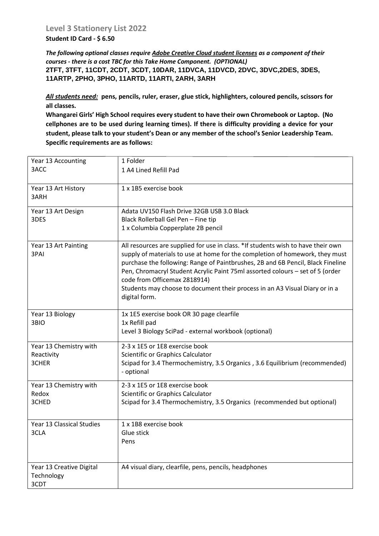## **Student ID Card - \$ 6.50**

*The following optional classes require Adobe Creative Cloud student licenses as a component of their courses - there is a cost TBC for this Take Home Component. (OPTIONAL)* **2TFT, 3TFT, 11CDT, 2CDT, 3CDT, 10DAR, 11DVCA, 11DVCD, 2DVC, 3DVC,2DES, 3DES, 11ARTP, 2PHO, 3PHO, 11ARTD, 11ARTI, 2ARH, 3ARH**

*All students need:* **pens, pencils, ruler, eraser, glue stick, highlighters, coloured pencils, scissors for all classes.** 

**Whangarei Girls' High School requires every student to have their own Chromebook or Laptop. (No cellphones are to be used during learning times). If there is difficulty providing a device for your student, please talk to your student's Dean or any member of the school's Senior Leadership Team. Specific requirements are as follows:**

| Year 13 Accounting           | 1 Folder                                                                                                                                                                                                                                                                                                                                                                                                                                            |
|------------------------------|-----------------------------------------------------------------------------------------------------------------------------------------------------------------------------------------------------------------------------------------------------------------------------------------------------------------------------------------------------------------------------------------------------------------------------------------------------|
| 3ACC                         | 1 A4 Lined Refill Pad                                                                                                                                                                                                                                                                                                                                                                                                                               |
| Year 13 Art History<br>3ARH  | 1 x 1B5 exercise book                                                                                                                                                                                                                                                                                                                                                                                                                               |
| Year 13 Art Design           | Adata UV150 Flash Drive 32GB USB 3.0 Black                                                                                                                                                                                                                                                                                                                                                                                                          |
| 3DES                         | Black Rollerball Gel Pen - Fine tip                                                                                                                                                                                                                                                                                                                                                                                                                 |
|                              | 1 x Columbia Copperplate 2B pencil                                                                                                                                                                                                                                                                                                                                                                                                                  |
| Year 13 Art Painting<br>3PAI | All resources are supplied for use in class. *If students wish to have their own<br>supply of materials to use at home for the completion of homework, they must<br>purchase the following: Range of Paintbrushes, 2B and 6B Pencil, Black Fineline<br>Pen, Chromacryl Student Acrylic Paint 75ml assorted colours - set of 5 (order<br>code from Officemax 2818914)<br>Students may choose to document their process in an A3 Visual Diary or in a |
|                              | digital form.                                                                                                                                                                                                                                                                                                                                                                                                                                       |
| Year 13 Biology              | 1x 1E5 exercise book OR 30 page clearfile                                                                                                                                                                                                                                                                                                                                                                                                           |
| 3BIO                         | 1x Refill pad                                                                                                                                                                                                                                                                                                                                                                                                                                       |
|                              | Level 3 Biology SciPad - external workbook (optional)                                                                                                                                                                                                                                                                                                                                                                                               |
| Year 13 Chemistry with       | 2-3 x 1E5 or 1E8 exercise book                                                                                                                                                                                                                                                                                                                                                                                                                      |
| Reactivity                   | Scientific or Graphics Calculator                                                                                                                                                                                                                                                                                                                                                                                                                   |
| 3CHER                        | Scipad for 3.4 Thermochemistry, 3.5 Organics, 3.6 Equilibrium (recommended)<br>- optional                                                                                                                                                                                                                                                                                                                                                           |
| Year 13 Chemistry with       | 2-3 x 1E5 or 1E8 exercise book                                                                                                                                                                                                                                                                                                                                                                                                                      |
| Redox                        | Scientific or Graphics Calculator                                                                                                                                                                                                                                                                                                                                                                                                                   |
| 3CHED                        | Scipad for 3.4 Thermochemistry, 3.5 Organics (recommended but optional)                                                                                                                                                                                                                                                                                                                                                                             |
| Year 13 Classical Studies    | 1 x 1B8 exercise book                                                                                                                                                                                                                                                                                                                                                                                                                               |
| 3CLA                         | Glue stick                                                                                                                                                                                                                                                                                                                                                                                                                                          |
|                              | Pens                                                                                                                                                                                                                                                                                                                                                                                                                                                |
| Year 13 Creative Digital     | A4 visual diary, clearfile, pens, pencils, headphones                                                                                                                                                                                                                                                                                                                                                                                               |
| Technology                   |                                                                                                                                                                                                                                                                                                                                                                                                                                                     |
| 3CDT                         |                                                                                                                                                                                                                                                                                                                                                                                                                                                     |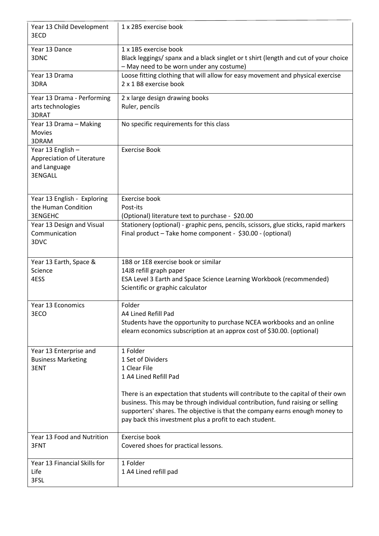| Year 13 Child Development<br>3ECD                                                 | 1 x 2B5 exercise book                                                                                                                                                                                                                                                                                         |
|-----------------------------------------------------------------------------------|---------------------------------------------------------------------------------------------------------------------------------------------------------------------------------------------------------------------------------------------------------------------------------------------------------------|
| Year 13 Dance<br>3DNC                                                             | 1 x 1B5 exercise book<br>Black leggings/ spanx and a black singlet or t shirt (length and cut of your choice<br>- May need to be worn under any costume)                                                                                                                                                      |
| Year 13 Drama<br>3DRA                                                             | Loose fitting clothing that will allow for easy movement and physical exercise<br>2 x 1 B8 exercise book                                                                                                                                                                                                      |
| Year 13 Drama - Performing<br>arts technologies<br>3DRAT                          | 2 x large design drawing books<br>Ruler, pencils                                                                                                                                                                                                                                                              |
| Year 13 Drama - Making<br><b>Movies</b><br>3DRAM                                  | No specific requirements for this class                                                                                                                                                                                                                                                                       |
| Year 13 English -<br>Appreciation of Literature<br>and Language<br><b>3ENGALL</b> | <b>Exercise Book</b>                                                                                                                                                                                                                                                                                          |
| Year 13 English - Exploring<br>the Human Condition<br><b>3ENGEHC</b>              | Exercise book<br>Post-its<br>(Optional) literature text to purchase - \$20.00                                                                                                                                                                                                                                 |
| Year 13 Design and Visual<br>Communication<br>3DVC                                | Stationery (optional) - graphic pens, pencils, scissors, glue sticks, rapid markers<br>Final product - Take home component - \$30.00 - (optional)                                                                                                                                                             |
| Year 13 Earth, Space &<br>Science<br>4ESS                                         | 1B8 or 1E8 exercise book or similar<br>14J8 refill graph paper<br>ESA Level 3 Earth and Space Science Learning Workbook (recommended)<br>Scientific or graphic calculator                                                                                                                                     |
| Year 13 Economics<br>3ECO                                                         | Folder<br>A4 Lined Refill Pad<br>Students have the opportunity to purchase NCEA workbooks and an online<br>elearn economics subscription at an approx cost of \$30.00. (optional)                                                                                                                             |
| Year 13 Enterprise and<br><b>Business Marketing</b><br>3ENT                       | 1 Folder<br>1 Set of Dividers<br>1 Clear File<br>1 A4 Lined Refill Pad                                                                                                                                                                                                                                        |
|                                                                                   | There is an expectation that students will contribute to the capital of their own<br>business. This may be through individual contribution, fund raising or selling<br>supporters' shares. The objective is that the company earns enough money to<br>pay back this investment plus a profit to each student. |
| Year 13 Food and Nutrition<br>3FNT                                                | Exercise book<br>Covered shoes for practical lessons.                                                                                                                                                                                                                                                         |
| Year 13 Financial Skills for<br>Life<br>3FSL                                      | 1 Folder<br>1 A4 Lined refill pad                                                                                                                                                                                                                                                                             |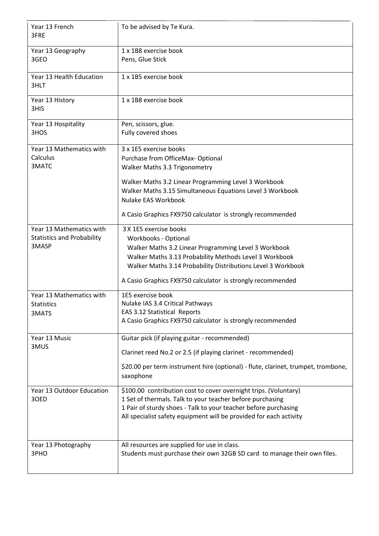| Year 13 French                    | To be advised by Te Kura.                                                                                                             |
|-----------------------------------|---------------------------------------------------------------------------------------------------------------------------------------|
| 3FRE                              |                                                                                                                                       |
| Year 13 Geography                 | 1 x 1B8 exercise book                                                                                                                 |
| 3GEO                              | Pens, Glue Stick                                                                                                                      |
| Year 13 Health Education<br>3HLT  | 1 x 1B5 exercise book                                                                                                                 |
| Year 13 History<br>3HIS           | 1 x 1B8 exercise book                                                                                                                 |
| Year 13 Hospitality<br>3HOS       | Pen, scissors, glue.<br>Fully covered shoes                                                                                           |
| Year 13 Mathematics with          | 3 x 1E5 exercise books                                                                                                                |
| Calculus<br>3MATC                 | Purchase from OfficeMax-Optional                                                                                                      |
|                                   | Walker Maths 3.3 Trigonometry                                                                                                         |
|                                   | Walker Maths 3.2 Linear Programming Level 3 Workbook                                                                                  |
|                                   | Walker Maths 3.15 Simultaneous Equations Level 3 Workbook<br>Nulake EAS Workbook                                                      |
|                                   | A Casio Graphics FX9750 calculator is strongly recommended                                                                            |
| Year 13 Mathematics with          | 3 X 1E5 exercise books                                                                                                                |
| <b>Statistics and Probability</b> | Workbooks - Optional                                                                                                                  |
| 3MASP                             | Walker Maths 3.2 Linear Programming Level 3 Workbook<br>Walker Maths 3.13 Probability Methods Level 3 Workbook                        |
|                                   | Walker Maths 3.14 Probability Distributions Level 3 Workbook                                                                          |
|                                   | A Casio Graphics FX9750 calculator is strongly recommended                                                                            |
| Year 13 Mathematics with          | 1E5 exercise book                                                                                                                     |
| <b>Statistics</b>                 | Nulake IAS 3.4 Critical Pathways<br><b>EAS 3.12 Statistical Reports</b>                                                               |
| 3MATS                             | A Casio Graphics FX9750 calculator is strongly recommended                                                                            |
| Year 13 Music<br>3MUS             | Guitar pick (if playing guitar - recommended)                                                                                         |
|                                   | Clarinet reed No.2 or 2.5 (if playing clarinet - recommended)                                                                         |
|                                   | \$20.00 per term instrument hire (optional) - flute, clarinet, trumpet, trombone,<br>saxophone                                        |
| Year 13 Outdoor Education         | \$100.00 contribution cost to cover overnight trips. (Voluntary)                                                                      |
| 30ED                              | 1 Set of thermals. Talk to your teacher before purchasing                                                                             |
|                                   | 1 Pair of sturdy shoes - Talk to your teacher before purchasing<br>All specialist safety equipment will be provided for each activity |
|                                   |                                                                                                                                       |
| Year 13 Photography               | All resources are supplied for use in class.                                                                                          |
| 3PHO                              | Students must purchase their own 32GB SD card to manage their own files.                                                              |
|                                   |                                                                                                                                       |